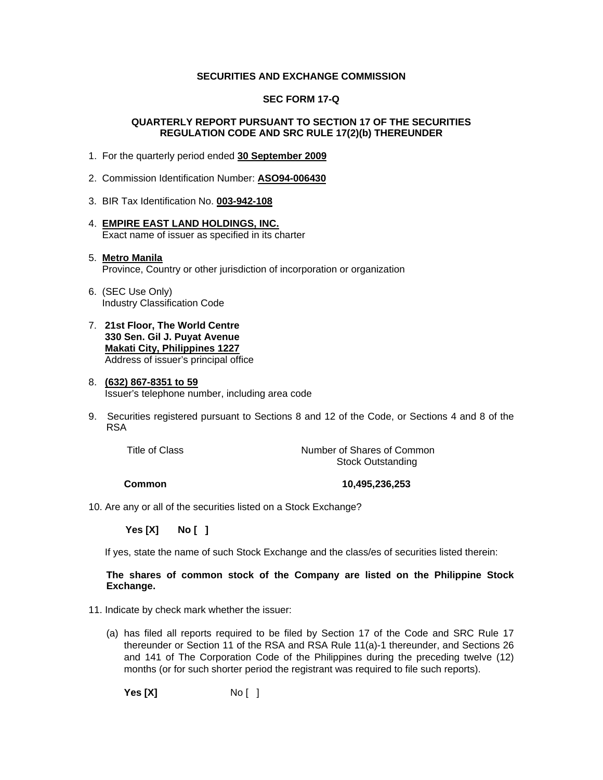#### **SECURITIES AND EXCHANGE COMMISSION**

#### **SEC FORM 17-Q**

#### **QUARTERLY REPORT PURSUANT TO SECTION 17 OF THE SECURITIES REGULATION CODE AND SRC RULE 17(2)(b) THEREUNDER**

- 1. For the quarterly period ended **30 September 2009**
- 2. Commission Identification Number: **ASO94-006430**
- 3. BIR Tax Identification No. **003-942-108**
- 4. **EMPIRE EAST LAND HOLDINGS, INC.** Exact name of issuer as specified in its charter

#### 5. **Metro Manila** Province, Country or other jurisdiction of incorporation or organization

- 6. (SEC Use Only) Industry Classification Code
- 7. **21st Floor, The World Centre 330 Sen. Gil J. Puyat Avenue Makati City, Philippines 1227** Address of issuer's principal office

#### 8. **(632) 867-8351 to 59** Issuer's telephone number, including area code

9. Securities registered pursuant to Sections 8 and 12 of the Code, or Sections 4 and 8 of the RSA

Title of Class Title of Common Number of Shares of Common Stock Outstanding

 **Common 10,495,236,253** 

10. Are any or all of the securities listed on a Stock Exchange?

 **Yes [X] No [ ]**

If yes, state the name of such Stock Exchange and the class/es of securities listed therein:

#### **The shares of common stock of the Company are listed on the Philippine Stock Exchange.**

- 11. Indicate by check mark whether the issuer:
	- (a) has filed all reports required to be filed by Section 17 of the Code and SRC Rule 17 thereunder or Section 11 of the RSA and RSA Rule 11(a)-1 thereunder, and Sections 26 and 141 of The Corporation Code of the Philippines during the preceding twelve (12) months (or for such shorter period the registrant was required to file such reports).

**Yes [X]** No [ ]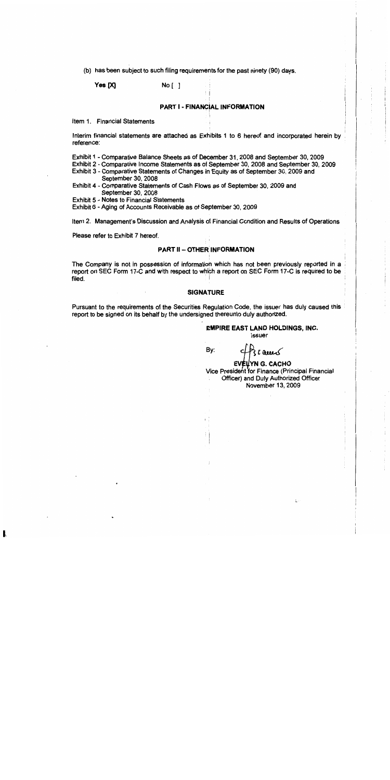(b) has been subject to such filing requirements for the past ninety (90) days.

Yes [X]

#### $No<sub>i</sub>$ ]

#### **PART I - FINANCIAL INFORMATION**

Item 1. Financial Statements

Interim financial statements are attached as Exhibits 1 to 6 hereof and incorporated herein by reference:

Exhibit 1 - Comparative Balance Sheets as of December 31, 2008 and September 30, 2009

Exhibit 2 - Comparative Income Statements as of September 30, 2008 and September 30, 2009

Exhibit 3 - Comparative Statements of Changes in Equity as of September 30, 2009 and September 30, 2008

Exhibit 4 - Comparative Statements of Cash Flows as of September 30, 2009 and September 30, 2008

**Exhibit 5 - Notes to Financial Statements** 

Exhibit 6 - Aging of Accounts Receivable as of September 30, 2009

Item 2. Management's Discussion and Analysis of Financial Condition and Results of Operations

Please refer to Exhibit 7 hereof.

#### **PART II - OTHER INFORMATION**

The Company is not in possession of information which has not been previously reported in a report on SEC Form 17-C and with respect to which a report on SEC Form 17-C is required to be filed.

#### **SIGNATURE**

Pursuant to the requirements of the Securities Regulation Code, the issuer has duly caused this report to be signed on its behalf by the undersigned thereunto duly authorized.

#### **EMPIRE EAST LAND HOLDINGS, INC. Issuer**

By:

**EVELYN G. CACHO** Vice President for Finance (Principal Financial Officer) and Duly Authorized Officer November 13, 2009

 $\lambda$  cannot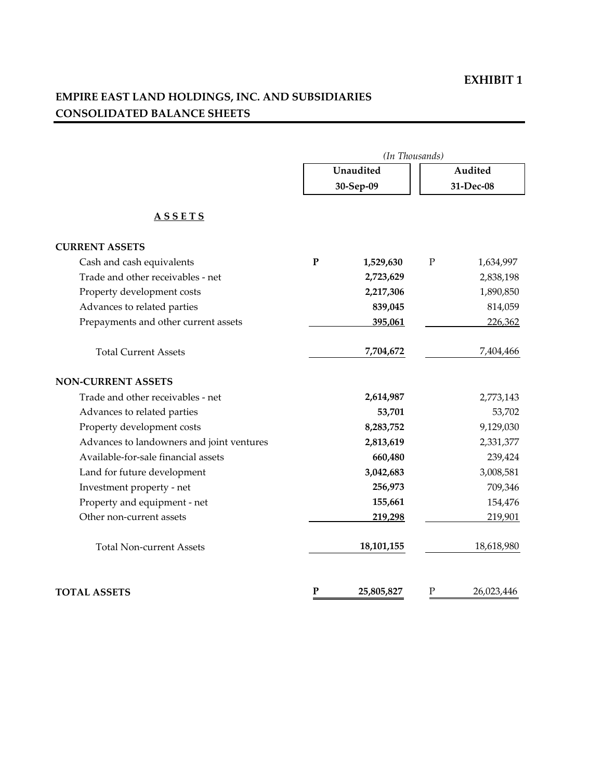# **EMPIRE EAST LAND HOLDINGS, INC. AND SUBSIDIARIES CONSOLIDATED BALANCE SHEETS**

|                                           |           | (In Thousands) |           |            |
|-------------------------------------------|-----------|----------------|-----------|------------|
|                                           |           | Unaudited      |           | Audited    |
|                                           |           | 30-Sep-09      |           | 31-Dec-08  |
| <b>ASSETS</b>                             |           |                |           |            |
| <b>CURRENT ASSETS</b>                     |           |                |           |            |
| Cash and cash equivalents                 | ${\bf P}$ | 1,529,630      | ${\bf P}$ | 1,634,997  |
| Trade and other receivables - net         |           | 2,723,629      |           | 2,838,198  |
| Property development costs                |           | 2,217,306      |           | 1,890,850  |
| Advances to related parties               |           | 839,045        |           | 814,059    |
| Prepayments and other current assets      |           | 395,061        |           | 226,362    |
| <b>Total Current Assets</b>               |           | 7,704,672      |           | 7,404,466  |
| <b>NON-CURRENT ASSETS</b>                 |           |                |           |            |
| Trade and other receivables - net         |           | 2,614,987      |           | 2,773,143  |
| Advances to related parties               |           | 53,701         |           | 53,702     |
| Property development costs                |           | 8,283,752      |           | 9,129,030  |
| Advances to landowners and joint ventures |           | 2,813,619      |           | 2,331,377  |
| Available-for-sale financial assets       |           | 660,480        |           | 239,424    |
| Land for future development               |           | 3,042,683      |           | 3,008,581  |
| Investment property - net                 |           | 256,973        |           | 709,346    |
| Property and equipment - net              |           | 155,661        |           | 154,476    |
| Other non-current assets                  |           | 219,298        |           | 219,901    |
| <b>Total Non-current Assets</b>           |           | 18,101,155     |           | 18,618,980 |
| <b>TOTAL ASSETS</b>                       | ${\bf P}$ | 25,805,827     | ${\bf P}$ | 26,023,446 |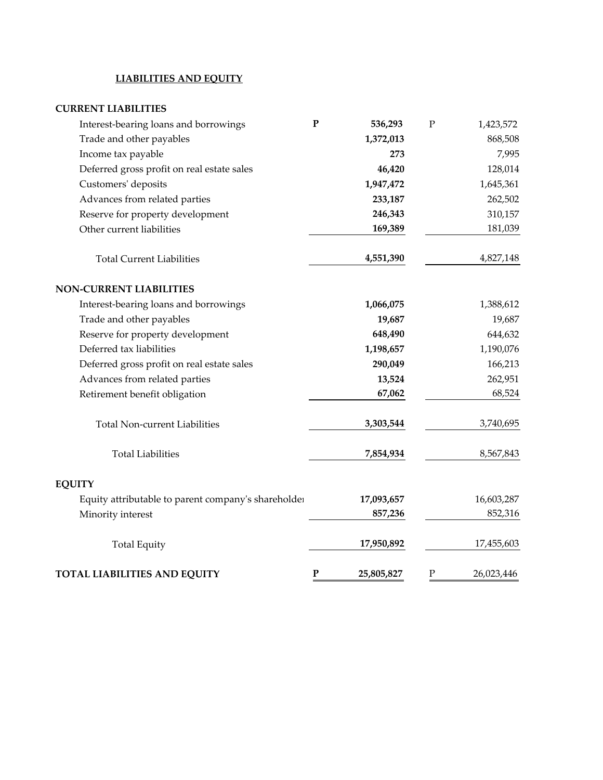#### **LIABILITIES AND EQUITY**

#### **CURRENT LIABILITIES**

| Interest-bearing loans and borrowings               | ${\bf P}$ | 536,293    | $\mathbf P$ | 1,423,572  |
|-----------------------------------------------------|-----------|------------|-------------|------------|
| Trade and other payables                            |           | 1,372,013  |             | 868,508    |
| Income tax payable                                  |           | 273        |             | 7,995      |
| Deferred gross profit on real estate sales          |           | 46,420     |             | 128,014    |
| Customers' deposits                                 |           | 1,947,472  |             | 1,645,361  |
| Advances from related parties                       |           | 233,187    |             | 262,502    |
| Reserve for property development                    |           | 246,343    |             | 310,157    |
| Other current liabilities                           |           | 169,389    |             | 181,039    |
| <b>Total Current Liabilities</b>                    |           | 4,551,390  |             | 4,827,148  |
| <b>NON-CURRENT LIABILITIES</b>                      |           |            |             |            |
| Interest-bearing loans and borrowings               |           | 1,066,075  |             | 1,388,612  |
| Trade and other payables                            |           | 19,687     |             | 19,687     |
| Reserve for property development                    |           | 648,490    |             | 644,632    |
| Deferred tax liabilities                            |           | 1,198,657  |             | 1,190,076  |
| Deferred gross profit on real estate sales          |           | 290,049    |             | 166,213    |
| Advances from related parties                       |           | 13,524     |             | 262,951    |
| Retirement benefit obligation                       |           | 67,062     |             | 68,524     |
| <b>Total Non-current Liabilities</b>                |           | 3,303,544  |             | 3,740,695  |
| <b>Total Liabilities</b>                            |           | 7,854,934  |             | 8,567,843  |
| <b>EQUITY</b>                                       |           |            |             |            |
| Equity attributable to parent company's shareholder |           | 17,093,657 |             | 16,603,287 |
| Minority interest                                   |           | 857,236    |             | 852,316    |
| <b>Total Equity</b>                                 |           | 17,950,892 |             | 17,455,603 |
| <b>TOTAL LIABILITIES AND EQUITY</b>                 | ${\bf P}$ | 25,805,827 | ${\bf P}$   | 26,023,446 |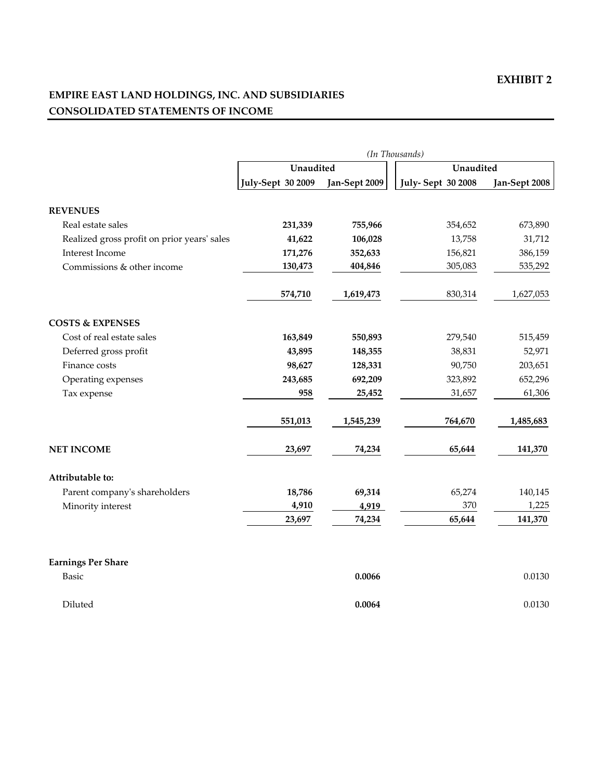# **EMPIRE EAST LAND HOLDINGS, INC. AND SUBSIDIARIES CONSOLIDATED STATEMENTS OF INCOME**

|                                             |                          |               | (In Thousands)           |               |
|---------------------------------------------|--------------------------|---------------|--------------------------|---------------|
|                                             | Unaudited                |               | Unaudited                |               |
|                                             | <b>July-Sept 30 2009</b> | Jan-Sept 2009 | <b>July-Sept 30 2008</b> | Jan-Sept 2008 |
| <b>REVENUES</b>                             |                          |               |                          |               |
| Real estate sales                           | 231,339                  | 755,966       | 354,652                  | 673,890       |
| Realized gross profit on prior years' sales | 41,622                   | 106,028       | 13,758                   | 31,712        |
| Interest Income                             | 171,276                  | 352,633       | 156,821                  | 386,159       |
| Commissions & other income                  | 130,473                  | 404,846       | 305,083                  | 535,292       |
|                                             | 574,710                  | 1,619,473     | 830,314                  | 1,627,053     |
| <b>COSTS &amp; EXPENSES</b>                 |                          |               |                          |               |
| Cost of real estate sales                   | 163,849                  | 550,893       | 279,540                  | 515,459       |
| Deferred gross profit                       | 43,895                   | 148,355       | 38,831                   | 52,971        |
| Finance costs                               | 98,627                   | 128,331       | 90,750                   | 203,651       |
| Operating expenses                          | 243,685                  | 692,209       | 323,892                  | 652,296       |
| Tax expense                                 | 958                      | 25,452        | 31,657                   | 61,306        |
|                                             | 551,013                  | 1,545,239     | 764,670                  | 1,485,683     |
| <b>NET INCOME</b>                           | 23,697                   | 74,234        | 65,644                   | 141,370       |
| Attributable to:                            |                          |               |                          |               |
| Parent company's shareholders               | 18,786                   | 69,314        | 65,274                   | 140,145       |
| Minority interest                           | 4,910                    | 4,919         | 370                      | 1,225         |
|                                             | 23,697                   | 74,234        | 65,644                   | 141,370       |
| <b>Earnings Per Share</b>                   |                          |               |                          |               |
| <b>Basic</b>                                |                          | 0.0066        |                          | 0.0130        |
| Diluted                                     |                          | 0.0064        |                          | 0.0130        |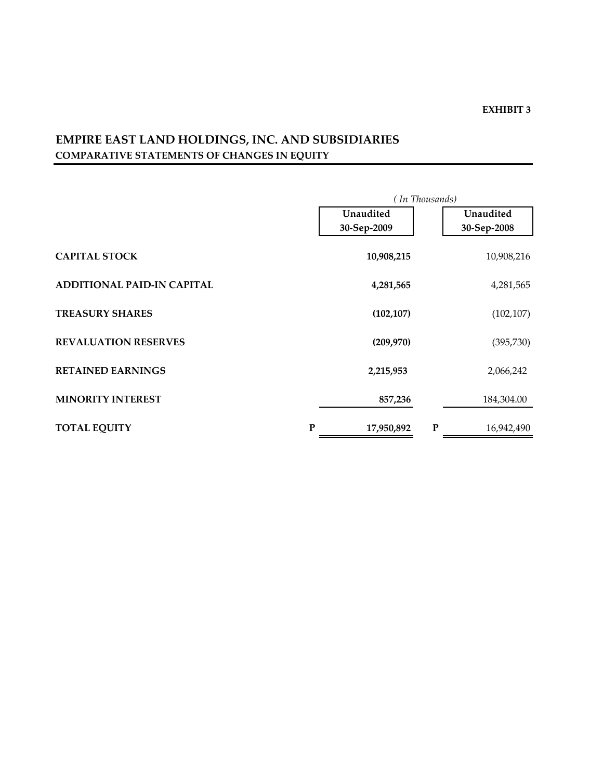# **EMPIRE EAST LAND HOLDINGS, INC. AND SUBSIDIARIES COMPARATIVE STATEMENTS OF CHANGES IN EQUITY**

|                                    |             | (In Thousands) |             |
|------------------------------------|-------------|----------------|-------------|
|                                    | Unaudited   |                | Unaudited   |
|                                    | 30-Sep-2009 |                | 30-Sep-2008 |
| <b>CAPITAL STOCK</b>               | 10,908,215  |                | 10,908,216  |
| <b>ADDITIONAL PAID-IN CAPITAL</b>  | 4,281,565   |                | 4,281,565   |
| <b>TREASURY SHARES</b>             | (102, 107)  |                | (102, 107)  |
| <b>REVALUATION RESERVES</b>        | (209, 970)  |                | (395, 730)  |
| <b>RETAINED EARNINGS</b>           | 2,215,953   |                | 2,066,242   |
| <b>MINORITY INTEREST</b>           | 857,236     |                | 184,304.00  |
| <b>TOTAL EQUITY</b><br>$\mathbf P$ | 17,950,892  | ${\bf P}$      | 16,942,490  |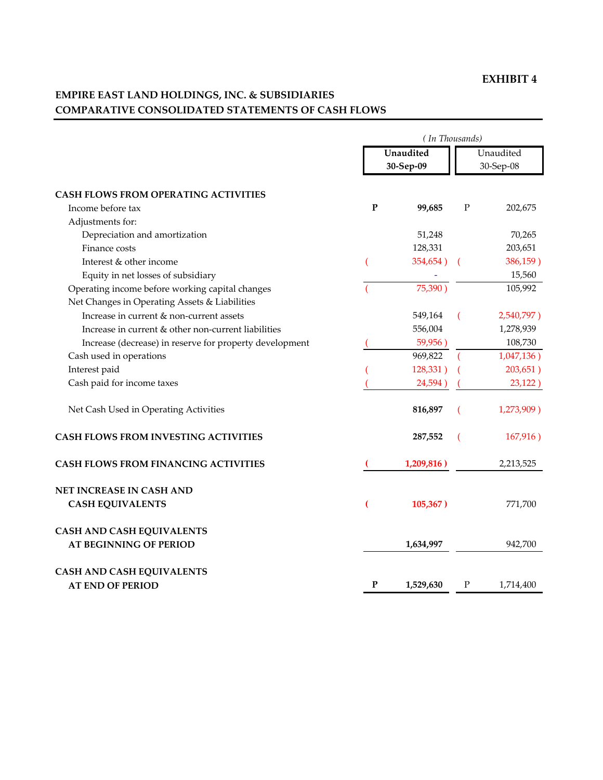# **EMPIRE EAST LAND HOLDINGS, INC. & SUBSIDIARIES COMPARATIVE CONSOLIDATED STATEMENTS OF CASH FLOWS**

|                                                                                                  |           | (In Thousands)         |   |            |
|--------------------------------------------------------------------------------------------------|-----------|------------------------|---|------------|
|                                                                                                  |           | Unaudited<br>30-Sep-09 |   | Unaudited  |
|                                                                                                  |           |                        |   | 30-Sep-08  |
|                                                                                                  |           |                        |   |            |
| <b>CASH FLOWS FROM OPERATING ACTIVITIES</b>                                                      |           |                        |   |            |
| Income before tax                                                                                | ${\bf P}$ | 99,685                 | P | 202,675    |
| Adjustments for:                                                                                 |           |                        |   |            |
| Depreciation and amortization                                                                    |           | 51,248                 |   | 70,265     |
| Finance costs                                                                                    |           | 128,331                |   | 203,651    |
| Interest & other income                                                                          |           | 354,654)               |   | 386,159)   |
| Equity in net losses of subsidiary                                                               |           |                        |   | 15,560     |
| Operating income before working capital changes<br>Net Changes in Operating Assets & Liabilities |           | 75,390)                |   | 105,992    |
| Increase in current & non-current assets                                                         |           | 549,164                |   | 2,540,797) |
| Increase in current & other non-current liabilities                                              |           | 556,004                |   | 1,278,939  |
| Increase (decrease) in reserve for property development                                          |           | 59,956)                |   | 108,730    |
| Cash used in operations                                                                          |           | 969,822                |   | 1,047,136) |
| Interest paid                                                                                    |           | 128,331)               |   | 203,651)   |
| Cash paid for income taxes                                                                       |           | 24,594)                |   | 23,122)    |
| Net Cash Used in Operating Activities                                                            |           | 816,897                |   | 1,273,909) |
| <b>CASH FLOWS FROM INVESTING ACTIVITIES</b>                                                      |           | 287,552                |   | 167,916)   |
| <b>CASH FLOWS FROM FINANCING ACTIVITIES</b>                                                      |           | 1,209,816)             |   | 2,213,525  |
| NET INCREASE IN CASH AND                                                                         |           |                        |   |            |
| <b>CASH EQUIVALENTS</b>                                                                          |           | 105,367)               |   | 771,700    |
| <b>CASH AND CASH EQUIVALENTS</b>                                                                 |           |                        |   |            |
| <b>AT BEGINNING OF PERIOD</b>                                                                    |           | 1,634,997              |   | 942,700    |
| <b>CASH AND CASH EQUIVALENTS</b>                                                                 |           |                        |   |            |
| <b>AT END OF PERIOD</b>                                                                          | P         | 1,529,630              | Ρ | 1,714,400  |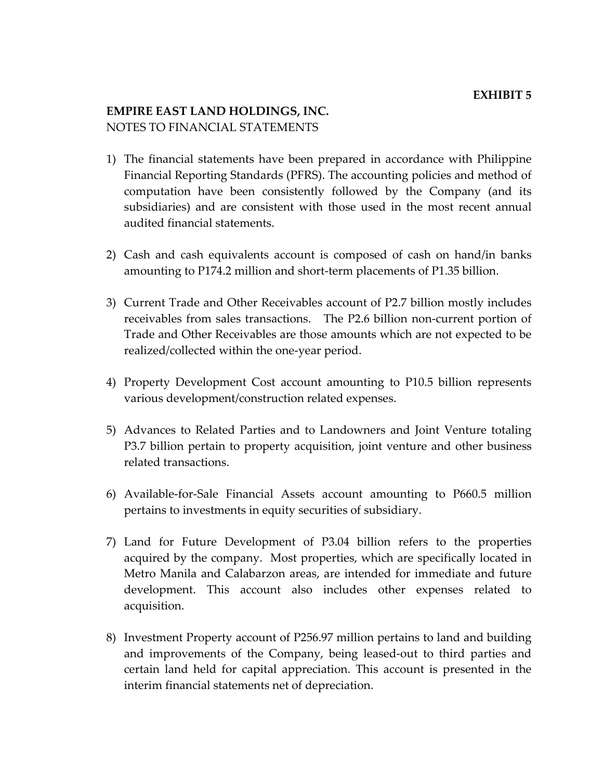# **EMPIRE EAST LAND HOLDINGS, INC.** NOTES TO FINANCIAL STATEMENTS

- 1) The financial statements have been prepared in accordance with Philippine Financial Reporting Standards (PFRS). The accounting policies and method of computation have been consistently followed by the Company (and its subsidiaries) and are consistent with those used in the most recent annual audited financial statements.
- 2) Cash and cash equivalents account is composed of cash on hand/in banks amounting to P174.2 million and short‐term placements of P1.35 billion.
- 3) Current Trade and Other Receivables account of P2.7 billion mostly includes receivables from sales transactions. The P2.6 billion non-current portion of Trade and Other Receivables are those amounts which are not expected to be realized/collected within the one‐year period.
- 4) Property Development Cost account amounting to P10.5 billion represents various development/construction related expenses.
- 5) Advances to Related Parties and to Landowners and Joint Venture totaling P3.7 billion pertain to property acquisition, joint venture and other business related transactions.
- 6) Available‐for‐Sale Financial Assets account amounting to P660.5 million pertains to investments in equity securities of subsidiary.
- 7) Land for Future Development of P3.04 billion refers to the properties acquired by the company. Most properties, which are specifically located in Metro Manila and Calabarzon areas, are intended for immediate and future development. This account also includes other expenses related to acquisition.
- 8) Investment Property account of P256.97 million pertains to land and building and improvements of the Company, being leased‐out to third parties and certain land held for capital appreciation. This account is presented in the interim financial statements net of depreciation.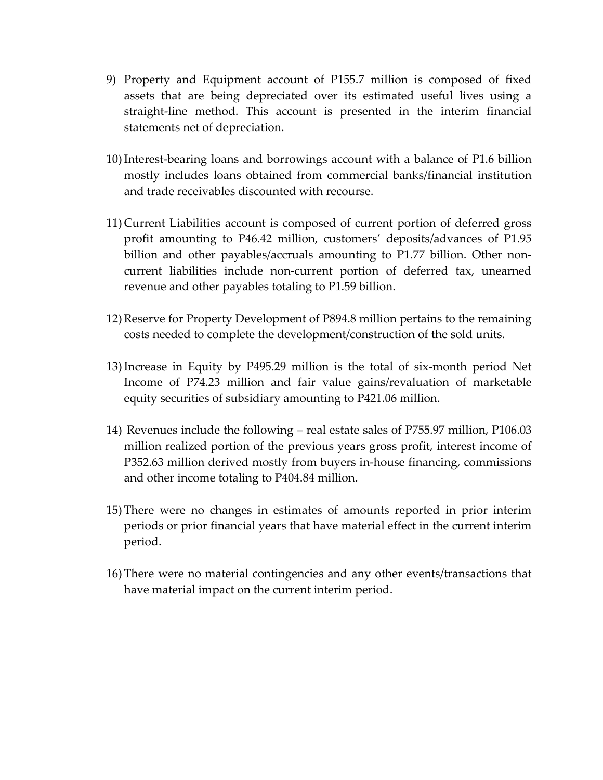- 9) Property and Equipment account of P155.7 million is composed of fixed assets that are being depreciated over its estimated useful lives using a straight‐line method. This account is presented in the interim financial statements net of depreciation.
- 10)Interest‐bearing loans and borrowings account with a balance of P1.6 billion mostly includes loans obtained from commercial banks/financial institution and trade receivables discounted with recourse.
- 11) Current Liabilities account is composed of current portion of deferred gross profit amounting to P46.42 million, customers' deposits/advances of P1.95 billion and other payables/accruals amounting to P1.77 billion. Other non‐ current liabilities include non‐current portion of deferred tax, unearned revenue and other payables totaling to P1.59 billion.
- 12) Reserve for Property Development of P894.8 million pertains to the remaining costs needed to complete the development/construction of the sold units.
- 13)Increase in Equity by P495.29 million is the total of six‐month period Net Income of P74.23 million and fair value gains/revaluation of marketable equity securities of subsidiary amounting to P421.06 million.
- 14) Revenues include the following real estate sales of P755.97 million, P106.03 million realized portion of the previous years gross profit, interest income of P352.63 million derived mostly from buyers in‐house financing, commissions and other income totaling to P404.84 million.
- 15) There were no changes in estimates of amounts reported in prior interim periods or prior financial years that have material effect in the current interim period.
- 16) There were no material contingencies and any other events/transactions that have material impact on the current interim period.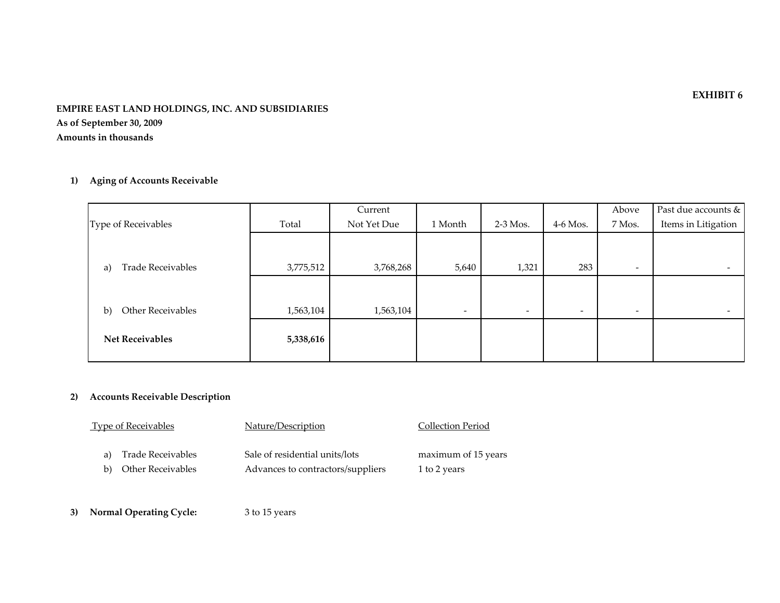#### **EMPIRE EAST LAND HOLDINGS, INC. AND SUBSIDIARIES As of September 30, <sup>2009</sup> Amounts in thousands**

### **1) Aging of Accounts Receivable**

|                                   |           | Current     |                          |                          |                          | Above                    | Past due accounts & |
|-----------------------------------|-----------|-------------|--------------------------|--------------------------|--------------------------|--------------------------|---------------------|
| Type of Receivables               | Total     | Not Yet Due | 1 Month                  | $2-3$ Mos.               | $4-6$ Mos.               | 7 Mos.                   | Items in Litigation |
|                                   |           |             |                          |                          |                          |                          |                     |
|                                   |           |             |                          |                          |                          |                          |                     |
| <b>Trade Receivables</b><br>a)    | 3,775,512 | 3,768,268   | 5,640                    | 1,321                    | 283                      | $\overline{\phantom{a}}$ |                     |
|                                   |           |             |                          |                          |                          |                          |                     |
|                                   |           |             |                          |                          |                          |                          |                     |
| Other Receivables<br>$\mathbf{b}$ | 1,563,104 | 1,563,104   | $\overline{\phantom{a}}$ | $\overline{\phantom{a}}$ | $\overline{\phantom{a}}$ | $\overline{\phantom{a}}$ |                     |
|                                   |           |             |                          |                          |                          |                          |                     |
| <b>Net Receivables</b>            | 5,338,616 |             |                          |                          |                          |                          |                     |
|                                   |           |             |                          |                          |                          |                          |                     |

#### **2) Accounts Receivable Description**

| <b>Type of Receivables</b> | Nature/Description                | Collection Period   |
|----------------------------|-----------------------------------|---------------------|
| a) Trade Receivables       | Sale of residential units/lots    | maximum of 15 years |
| b) Other Receivables       | Advances to contractors/suppliers | 1 to 2 years        |

**3) Normal Operating Cycle:** <sup>3</sup> to 15 years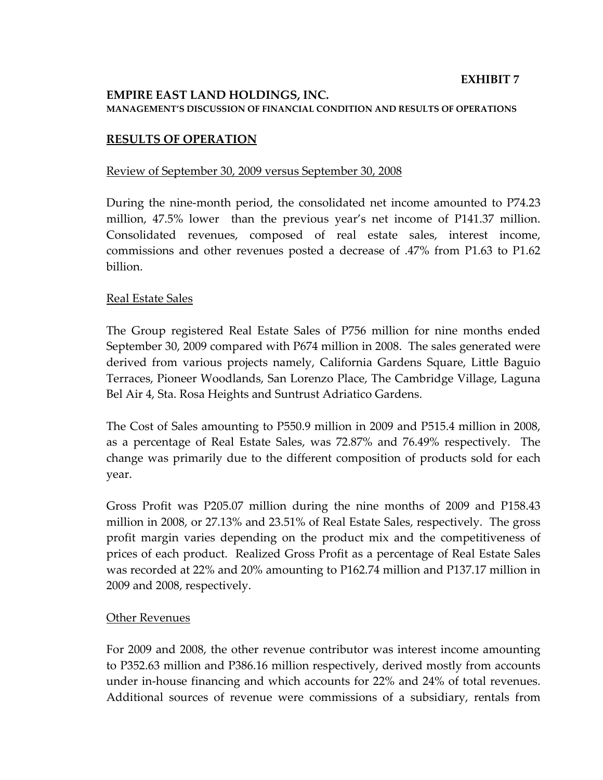## **EMPIRE EAST LAND HOLDINGS, INC. MANAGEMENT'S DISCUSSION OF FINANCIAL CONDITION AND RESULTS OF OPERATIONS**

### **RESULTS OF OPERATION**

### Review of September 30, 2009 versus September 30, 2008

During the nine‐month period, the consolidated net income amounted to P74.23 million, 47.5% lower than the previous year's net income of P141.37 million. Consolidated revenues, composed of real estate sales, interest income, commissions and other revenues posted a decrease of .47% from P1.63 to P1.62 billion.

### Real Estate Sales

The Group registered Real Estate Sales of P756 million for nine months ended September 30, 2009 compared with P674 million in 2008. The sales generated were derived from various projects namely, California Gardens Square, Little Baguio Terraces, Pioneer Woodlands, San Lorenzo Place, The Cambridge Village, Laguna Bel Air 4, Sta. Rosa Heights and Suntrust Adriatico Gardens.

The Cost of Sales amounting to P550.9 million in 2009 and P515.4 million in 2008, as a percentage of Real Estate Sales, was 72.87% and 76.49% respectively. The change was primarily due to the different composition of products sold for each year.

Gross Profit was P205.07 million during the nine months of 2009 and P158.43 million in 2008, or 27.13% and 23.51% of Real Estate Sales, respectively. The gross profit margin varies depending on the product mix and the competitiveness of prices of each product. Realized Gross Profit as a percentage of Real Estate Sales was recorded at 22% and 20% amounting to P162.74 million and P137.17 million in 2009 and 2008, respectively.

### **Other Revenues**

For 2009 and 2008, the other revenue contributor was interest income amounting to P352.63 million and P386.16 million respectively, derived mostly from accounts under in‐house financing and which accounts for 22% and 24% of total revenues. Additional sources of revenue were commissions of a subsidiary, rentals from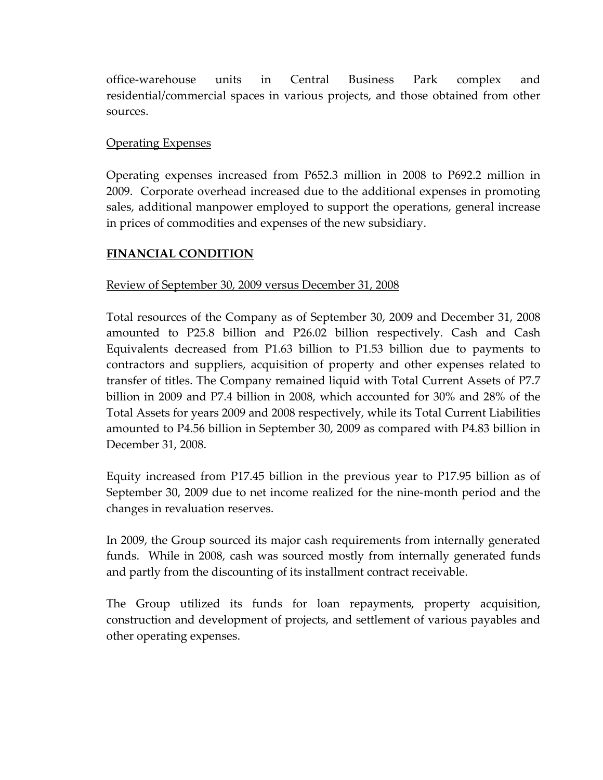office‐warehouse units in Central Business Park complex and residential/commercial spaces in various projects, and those obtained from other sources.

# Operating Expenses

Operating expenses increased from P652.3 million in 2008 to P692.2 million in 2009. Corporate overhead increased due to the additional expenses in promoting sales, additional manpower employed to support the operations, general increase in prices of commodities and expenses of the new subsidiary.

## **FINANCIAL CONDITION**

### Review of September 30, 2009 versus December 31, 2008

Total resources of the Company as of September 30, 2009 and December 31, 2008 amounted to P25.8 billion and P26.02 billion respectively. Cash and Cash Equivalents decreased from P1.63 billion to P1.53 billion due to payments to contractors and suppliers, acquisition of property and other expenses related to transfer of titles. The Company remained liquid with Total Current Assets of P7.7 billion in 2009 and P7.4 billion in 2008, which accounted for 30% and 28% of the Total Assets for years 2009 and 2008 respectively, while its Total Current Liabilities amounted to P4.56 billion in September 30, 2009 as compared with P4.83 billion in December 31, 2008.

Equity increased from P17.45 billion in the previous year to P17.95 billion as of September 30, 2009 due to net income realized for the nine‐month period and the changes in revaluation reserves.

In 2009, the Group sourced its major cash requirements from internally generated funds. While in 2008, cash was sourced mostly from internally generated funds and partly from the discounting of its installment contract receivable.

The Group utilized its funds for loan repayments, property acquisition, construction and development of projects, and settlement of various payables and other operating expenses.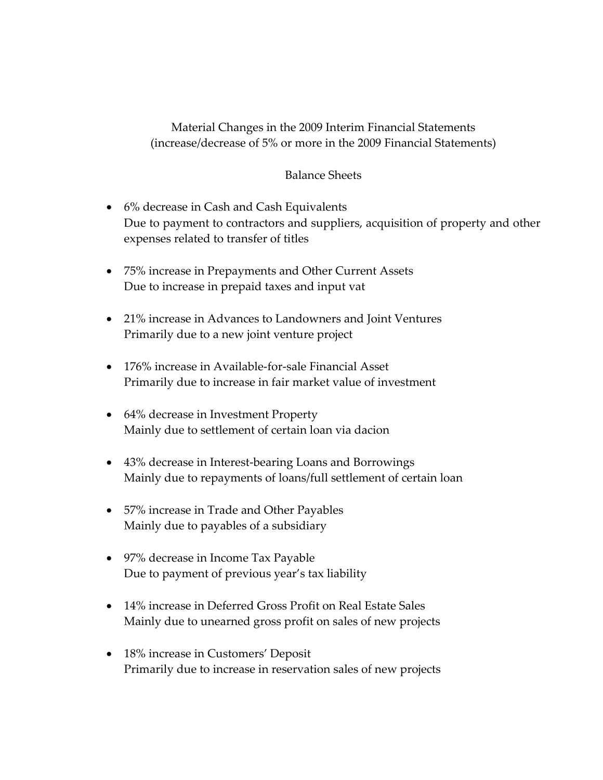Material Changes in the 2009 Interim Financial Statements (increase/decrease of 5% or more in the 2009 Financial Statements)

### Balance Sheets

- 6% decrease in Cash and Cash Equivalents Due to payment to contractors and suppliers, acquisition of property and other expenses related to transfer of titles
- 75% increase in Prepayments and Other Current Assets Due to increase in prepaid taxes and input vat
- 21% increase in Advances to Landowners and Joint Ventures Primarily due to a new joint venture project
- 176% increase in Available-for-sale Financial Asset Primarily due to increase in fair market value of investment
- 64% decrease in Investment Property Mainly due to settlement of certain loan via dacion
- 43% decrease in Interest-bearing Loans and Borrowings Mainly due to repayments of loans/full settlement of certain loan
- 57% increase in Trade and Other Payables Mainly due to payables of a subsidiary
- 97% decrease in Income Tax Payable Due to payment of previous year's tax liability
- 14% increase in Deferred Gross Profit on Real Estate Sales Mainly due to unearned gross profit on sales of new projects
- 18% increase in Customers' Deposit Primarily due to increase in reservation sales of new projects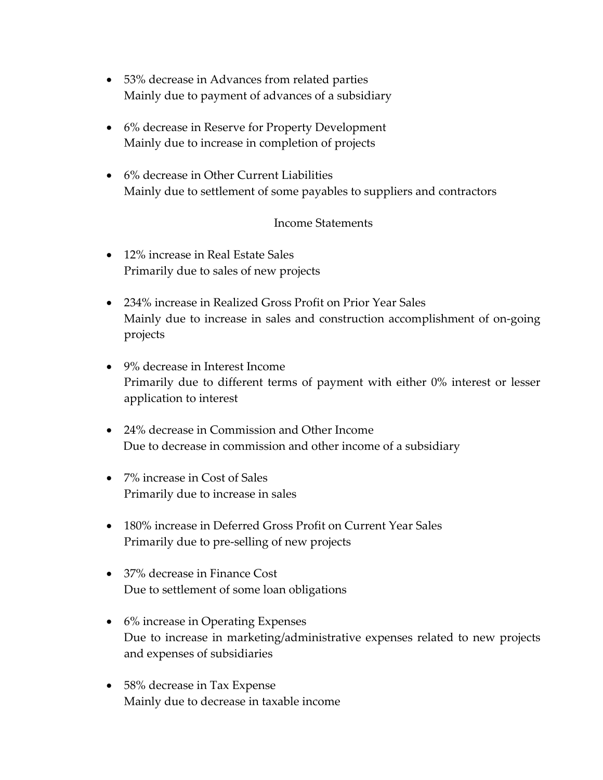- 53% decrease in Advances from related parties Mainly due to payment of advances of a subsidiary
- 6% decrease in Reserve for Property Development Mainly due to increase in completion of projects
- 6% decrease in Other Current Liabilities Mainly due to settlement of some payables to suppliers and contractors

## Income Statements

- 12% increase in Real Estate Sales Primarily due to sales of new projects
- 234% increase in Realized Gross Profit on Prior Year Sales Mainly due to increase in sales and construction accomplishment of on‐going projects
- 9% decrease in Interest Income Primarily due to different terms of payment with either 0% interest or lesser application to interest
- 24% decrease in Commission and Other Income Due to decrease in commission and other income of a subsidiary
- 7% increase in Cost of Sales Primarily due to increase in sales
- 180% increase in Deferred Gross Profit on Current Year Sales Primarily due to pre‐selling of new projects
- 37% decrease in Finance Cost Due to settlement of some loan obligations
- 6% increase in Operating Expenses Due to increase in marketing/administrative expenses related to new projects and expenses of subsidiaries
- 58% decrease in Tax Expense Mainly due to decrease in taxable income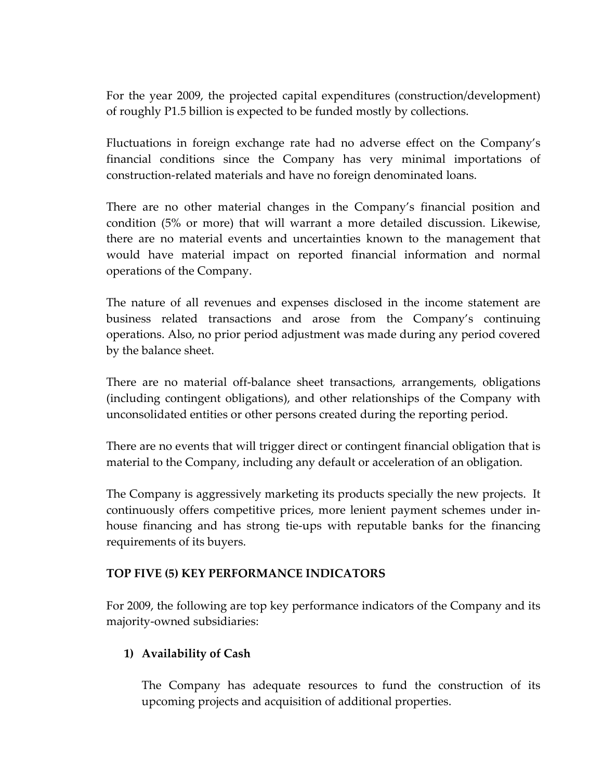For the year 2009, the projected capital expenditures (construction/development) of roughly P1.5 billion is expected to be funded mostly by collections.

Fluctuations in foreign exchange rate had no adverse effect on the Company's financial conditions since the Company has very minimal importations of construction‐related materials and have no foreign denominated loans.

There are no other material changes in the Company's financial position and condition (5% or more) that will warrant a more detailed discussion. Likewise, there are no material events and uncertainties known to the management that would have material impact on reported financial information and normal operations of the Company.

The nature of all revenues and expenses disclosed in the income statement are business related transactions and arose from the Company's continuing operations. Also, no prior period adjustment was made during any period covered by the balance sheet.

There are no material off‐balance sheet transactions, arrangements, obligations (including contingent obligations), and other relationships of the Company with unconsolidated entities or other persons created during the reporting period.

There are no events that will trigger direct or contingent financial obligation that is material to the Company, including any default or acceleration of an obligation.

The Company is aggressively marketing its products specially the new projects. It continuously offers competitive prices, more lenient payment schemes under in‐ house financing and has strong tie‐ups with reputable banks for the financing requirements of its buyers.

# **TOP FIVE (5) KEY PERFORMANCE INDICATORS**

For 2009, the following are top key performance indicators of the Company and its majority‐owned subsidiaries:

# **1) Availability of Cash**

The Company has adequate resources to fund the construction of its upcoming projects and acquisition of additional properties.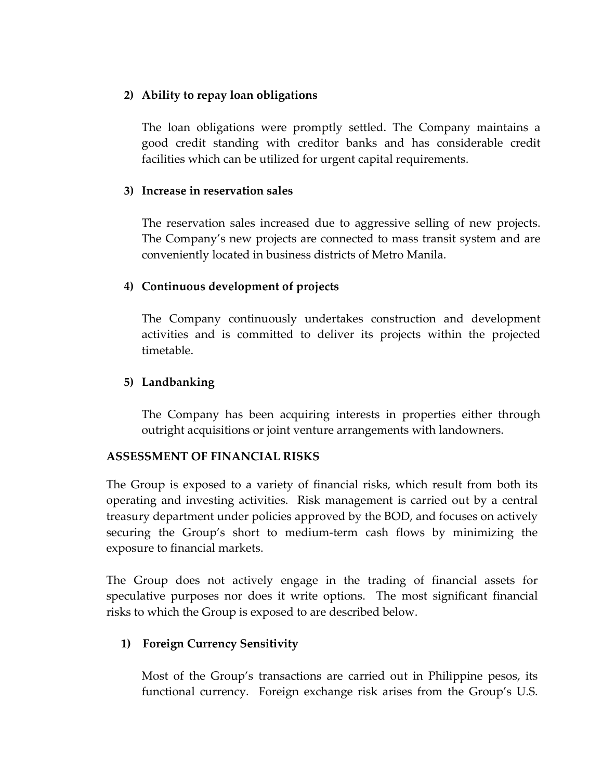## **2) Ability to repay loan obligations**

The loan obligations were promptly settled. The Company maintains a good credit standing with creditor banks and has considerable credit facilities which can be utilized for urgent capital requirements.

## **3) Increase in reservation sales**

The reservation sales increased due to aggressive selling of new projects. The Company's new projects are connected to mass transit system and are conveniently located in business districts of Metro Manila.

# **4) Continuous development of projects**

The Company continuously undertakes construction and development activities and is committed to deliver its projects within the projected timetable.

# **5) Landbanking**

The Company has been acquiring interests in properties either through outright acquisitions or joint venture arrangements with landowners.

# **ASSESSMENT OF FINANCIAL RISKS**

The Group is exposed to a variety of financial risks, which result from both its operating and investing activities. Risk management is carried out by a central treasury department under policies approved by the BOD, and focuses on actively securing the Group's short to medium‐term cash flows by minimizing the exposure to financial markets.

The Group does not actively engage in the trading of financial assets for speculative purposes nor does it write options. The most significant financial risks to which the Group is exposed to are described below.

# **1) Foreign Currency Sensitivity**

Most of the Group's transactions are carried out in Philippine pesos, its functional currency. Foreign exchange risk arises from the Group's U.S.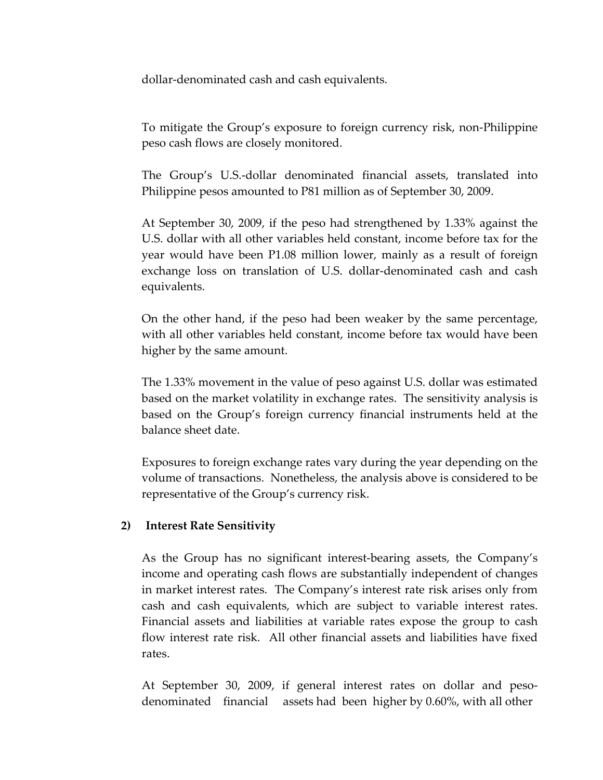dollar‐denominated cash and cash equivalents.

To mitigate the Group's exposure to foreign currency risk, non‐Philippine peso cash flows are closely monitored.

The Group's U.S.‐dollar denominated financial assets, translated into Philippine pesos amounted to P81 million as of September 30, 2009.

At September 30, 2009, if the peso had strengthened by 1.33% against the U.S. dollar with all other variables held constant, income before tax for the year would have been P1.08 million lower, mainly as a result of foreign exchange loss on translation of U.S. dollar‐denominated cash and cash equivalents.

On the other hand, if the peso had been weaker by the same percentage, with all other variables held constant, income before tax would have been higher by the same amount.

The 1.33% movement in the value of peso against U.S. dollar was estimated based on the market volatility in exchange rates. The sensitivity analysis is based on the Group's foreign currency financial instruments held at the balance sheet date.

Exposures to foreign exchange rates vary during the year depending on the volume of transactions. Nonetheless, the analysis above is considered to be representative of the Group's currency risk.

### **2) Interest Rate Sensitivity**

As the Group has no significant interest-bearing assets, the Company's income and operating cash flows are substantially independent of changes in market interest rates. The Company's interest rate risk arises only from cash and cash equivalents, which are subject to variable interest rates. Financial assets and liabilities at variable rates expose the group to cash flow interest rate risk. All other financial assets and liabilities have fixed rates.

At September 30, 2009, if general interest rates on dollar and pesodenominated financial assets had been higher by 0.60%, with all other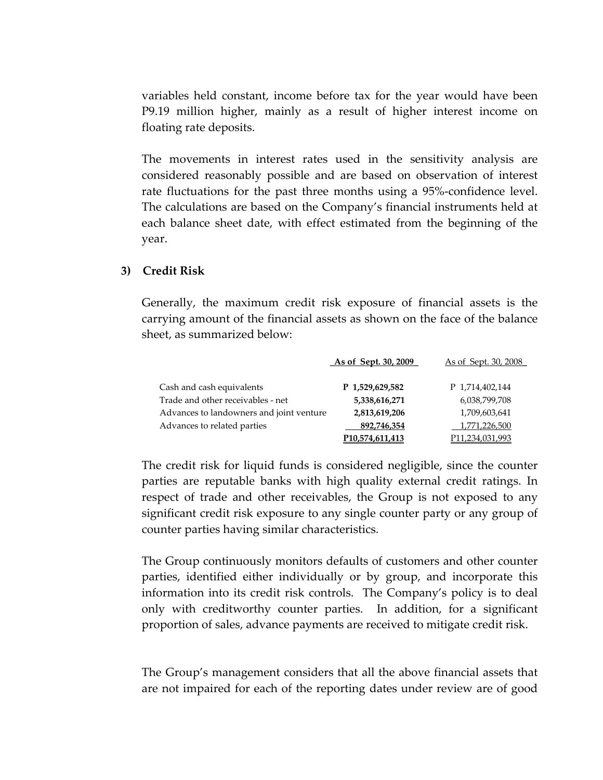variables held constant, income before tax for the year would have been P9.19 million higher, mainly as a result of higher interest income on floating rate deposits.

The movements in interest rates used in the sensitivity analysis are considered reasonably possible and are based on observation of interest rate fluctuations for the past three months using a 95%‐confidence level. The calculations are based on the Company's financial instruments held at each balance sheet date, with effect estimated from the beginning of the year.

### **3) Credit Risk**

Generally, the maximum credit risk exposure of financial assets is the carrying amount of the financial assets as shown on the face of the balance sheet, as summarized below:

|                                          | As of Sept. 30, 2009            | <u>As of Sept. 30, 2008</u>     |  |
|------------------------------------------|---------------------------------|---------------------------------|--|
| Cash and cash equivalents                | P 1,529,629,582                 | P 1,714,402,144                 |  |
| Trade and other receivables - net        | 5,338,616,271                   | 6,038,799,708                   |  |
| Advances to landowners and joint venture | 2,813,619,206                   | 1,709,603,641                   |  |
| Advances to related parties              | 892,746,354                     | 1,771,226,500                   |  |
|                                          | P <sub>10</sub> , 574, 611, 413 | P <sub>11</sub> , 234, 031, 993 |  |

The credit risk for liquid funds is considered negligible, since the counter parties are reputable banks with high quality external credit ratings. In respect of trade and other receivables, the Group is not exposed to any significant credit risk exposure to any single counter party or any group of counter parties having similar characteristics.

The Group continuously monitors defaults of customers and other counter parties, identified either individually or by group, and incorporate this information into its credit risk controls. The Company's policy is to deal only with creditworthy counter parties. In addition, for a significant proportion of sales, advance payments are received to mitigate credit risk.

The Group's management considers that all the above financial assets that are not impaired for each of the reporting dates under review are of good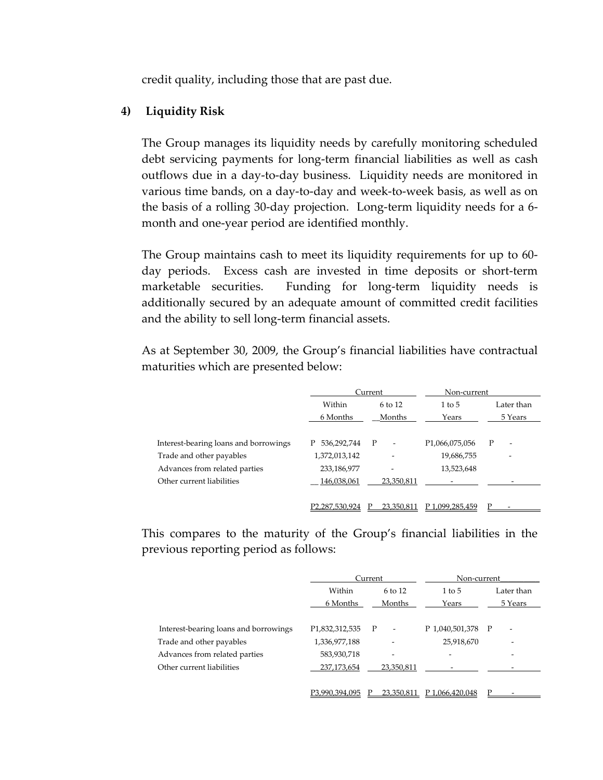credit quality, including those that are past due.

### **4) Liquidity Risk**

The Group manages its liquidity needs by carefully monitoring scheduled debt servicing payments for long‐term financial liabilities as well as cash outflows due in a day‐to‐day business. Liquidity needs are monitored in various time bands, on a day‐to‐day and week‐to‐week basis, as well as on the basis of a rolling 30‐day projection. Long‐term liquidity needs for a 6‐ month and one‐year period are identified monthly.

The Group maintains cash to meet its liquidity requirements for up to 60‐ day periods. Excess cash are invested in time deposits or short‐term marketable securities. Funding for long-term liquidity needs is additionally secured by an adequate amount of committed credit facilities and the ability to sell long‐term financial assets.

As at September 30, 2009, the Group's financial liabilities have contractual maturities which are presented below:

|                                       |                  | Current                                  |                             | Non-current |
|---------------------------------------|------------------|------------------------------------------|-----------------------------|-------------|
|                                       | Within           | 6 to 12                                  | $1$ to $5$                  | Later than  |
|                                       | 6 Months         | Months                                   | Years                       | 5 Years     |
| Interest-bearing loans and borrowings | 536,292,744<br>P | $\mathbf{P}$<br>$\overline{\phantom{a}}$ | P <sub>1</sub> ,066,075,056 | P<br>۰      |
| Trade and other payables              | 1,372,013,142    |                                          | 19,686,755                  | -           |
| Advances from related parties         | 233,186,977      | ٠                                        | 13,523,648                  |             |
| Other current liabilities             | 146,038,061      | 23,350,811                               |                             |             |
|                                       | P2,287,530,924   | 23.350.811                               | P 1.099,285,459             | D           |

This compares to the maturity of the Group's financial liabilities in the previous reporting period as follows:

|                                       |                     | Current                       |                   | Non-current              |
|---------------------------------------|---------------------|-------------------------------|-------------------|--------------------------|
|                                       | Within<br>$6$ to 12 |                               | $1$ to $5$        | Later than               |
|                                       | 6 Months            | Months                        | Years             | 5 Years                  |
|                                       |                     |                               |                   |                          |
| Interest-bearing loans and borrowings | P1,832,312,535      | P<br>$\overline{\phantom{a}}$ | P 1,040,501,378 P | $\overline{\phantom{a}}$ |
| Trade and other payables              | 1,336,977,188       |                               | 25,918,670        |                          |
| Advances from related parties         | 583,930,718         | -                             | -                 | ٠                        |
| Other current liabilities             | 237,173,654         | 23,350,811                    |                   |                          |
|                                       |                     |                               |                   |                          |
|                                       | P3,990,394,095      | 23,350,811                    | P 1.066.420.048   |                          |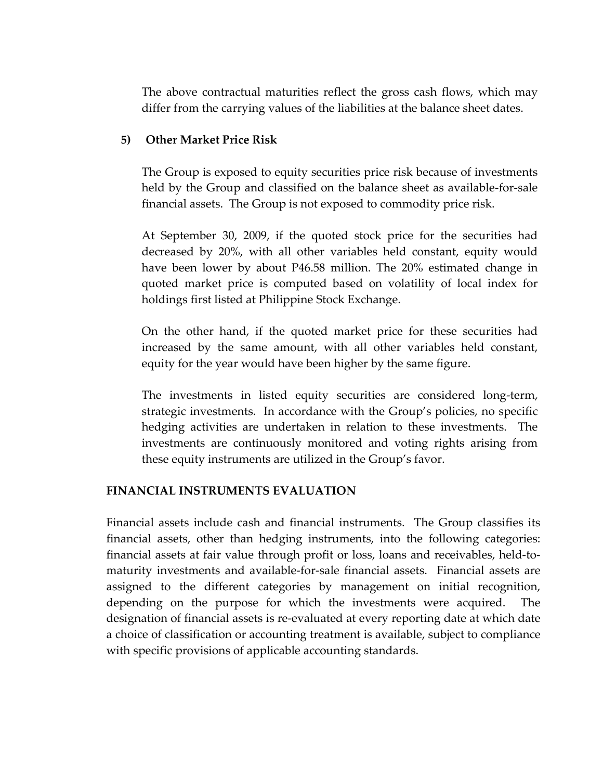The above contractual maturities reflect the gross cash flows, which may differ from the carrying values of the liabilities at the balance sheet dates.

### **5) Other Market Price Risk**

The Group is exposed to equity securities price risk because of investments held by the Group and classified on the balance sheet as available‐for‐sale financial assets. The Group is not exposed to commodity price risk.

At September 30, 2009, if the quoted stock price for the securities had decreased by 20%, with all other variables held constant, equity would have been lower by about P46.58 million. The 20% estimated change in quoted market price is computed based on volatility of local index for holdings first listed at Philippine Stock Exchange.

On the other hand, if the quoted market price for these securities had increased by the same amount, with all other variables held constant, equity for the year would have been higher by the same figure.

The investments in listed equity securities are considered long‐term, strategic investments. In accordance with the Group's policies, no specific hedging activities are undertaken in relation to these investments. The investments are continuously monitored and voting rights arising from these equity instruments are utilized in the Group's favor.

### **FINANCIAL INSTRUMENTS EVALUATION**

Financial assets include cash and financial instruments. The Group classifies its financial assets, other than hedging instruments, into the following categories: financial assets at fair value through profit or loss, loans and receivables, held‐to‐ maturity investments and available‐for‐sale financial assets. Financial assets are assigned to the different categories by management on initial recognition, depending on the purpose for which the investments were acquired. The designation of financial assets is re‐evaluated at every reporting date at which date a choice of classification or accounting treatment is available, subject to compliance with specific provisions of applicable accounting standards.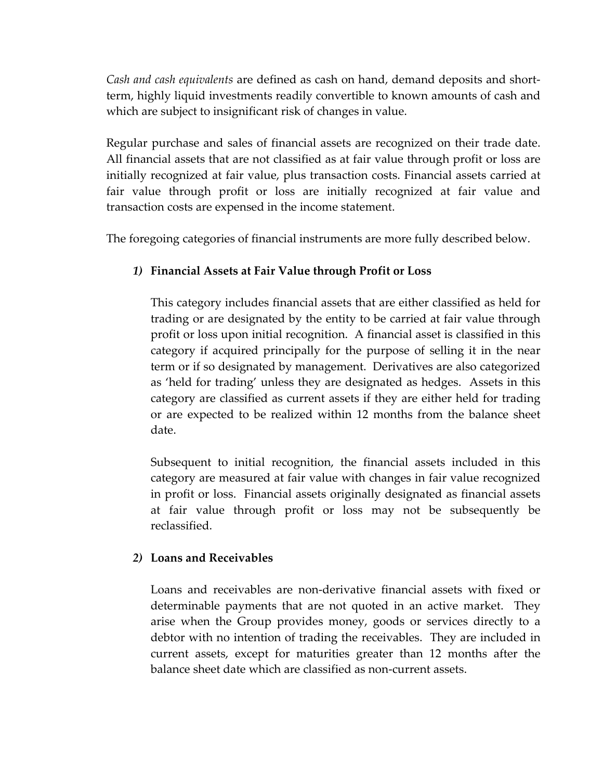*Cash and cash equivalents* are defined as cash on hand, demand deposits and short‐ term, highly liquid investments readily convertible to known amounts of cash and which are subject to insignificant risk of changes in value.

Regular purchase and sales of financial assets are recognized on their trade date. All financial assets that are not classified as at fair value through profit or loss are initially recognized at fair value, plus transaction costs. Financial assets carried at fair value through profit or loss are initially recognized at fair value and transaction costs are expensed in the income statement.

The foregoing categories of financial instruments are more fully described below.

# *1)* **Financial Assets at Fair Value through Profit or Loss**

This category includes financial assets that are either classified as held for trading or are designated by the entity to be carried at fair value through profit or loss upon initial recognition. A financial asset is classified in this category if acquired principally for the purpose of selling it in the near term or if so designated by management. Derivatives are also categorized as 'held for trading' unless they are designated as hedges. Assets in this category are classified as current assets if they are either held for trading or are expected to be realized within 12 months from the balance sheet date.

 Subsequent to initial recognition, the financial assets included in this category are measured at fair value with changes in fair value recognized in profit or loss. Financial assets originally designated as financial assets at fair value through profit or loss may not be subsequently be reclassified.

### *2)* **Loans and Receivables**

Loans and receivables are non‐derivative financial assets with fixed or determinable payments that are not quoted in an active market. They arise when the Group provides money, goods or services directly to a debtor with no intention of trading the receivables. They are included in current assets, except for maturities greater than 12 months after the balance sheet date which are classified as non‐current assets.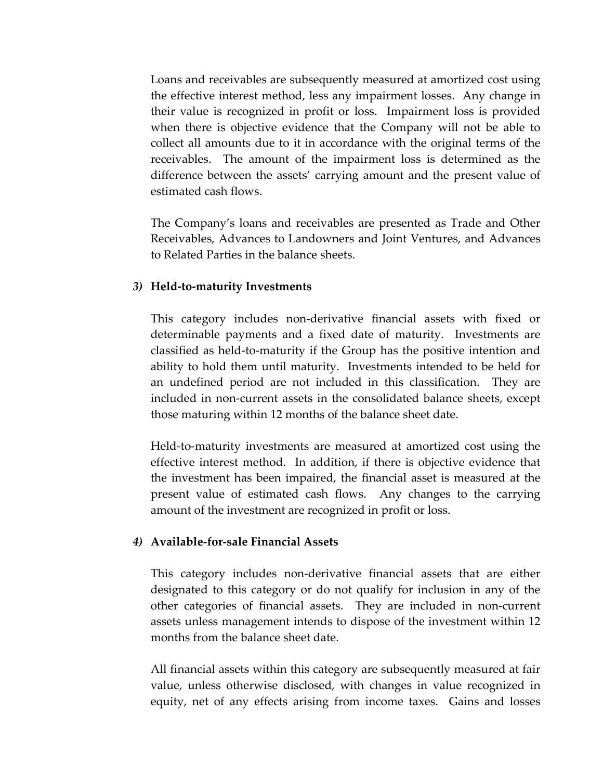Loans and receivables are subsequently measured at amortized cost using the effective interest method, less any impairment losses. Any change in their value is recognized in profit or loss. Impairment loss is provided when there is objective evidence that the Company will not be able to collect all amounts due to it in accordance with the original terms of the receivables. The amount of the impairment loss is determined as the difference between the assets' carrying amount and the present value of estimated cash flows.

 The Company's loans and receivables are presented as Trade and Other Receivables, Advances to Landowners and Joint Ventures, and Advances to Related Parties in the balance sheets.

### *3)* **Held‐to‐maturity Investments**

This category includes non‐derivative financial assets with fixed or determinable payments and a fixed date of maturity. Investments are classified as held‐to‐maturity if the Group has the positive intention and ability to hold them until maturity. Investments intended to be held for an undefined period are not included in this classification. They are included in non‐current assets in the consolidated balance sheets, except those maturing within 12 months of the balance sheet date.

Held-to-maturity investments are measured at amortized cost using the effective interest method. In addition, if there is objective evidence that the investment has been impaired, the financial asset is measured at the present value of estimated cash flows. Any changes to the carrying amount of the investment are recognized in profit or loss.

### *4)* **Available‐for‐sale Financial Assets**

This category includes non‐derivative financial assets that are either designated to this category or do not qualify for inclusion in any of the other categories of financial assets. They are included in non‐current assets unless management intends to dispose of the investment within 12 months from the balance sheet date.

All financial assets within this category are subsequently measured at fair value, unless otherwise disclosed, with changes in value recognized in equity, net of any effects arising from income taxes. Gains and losses